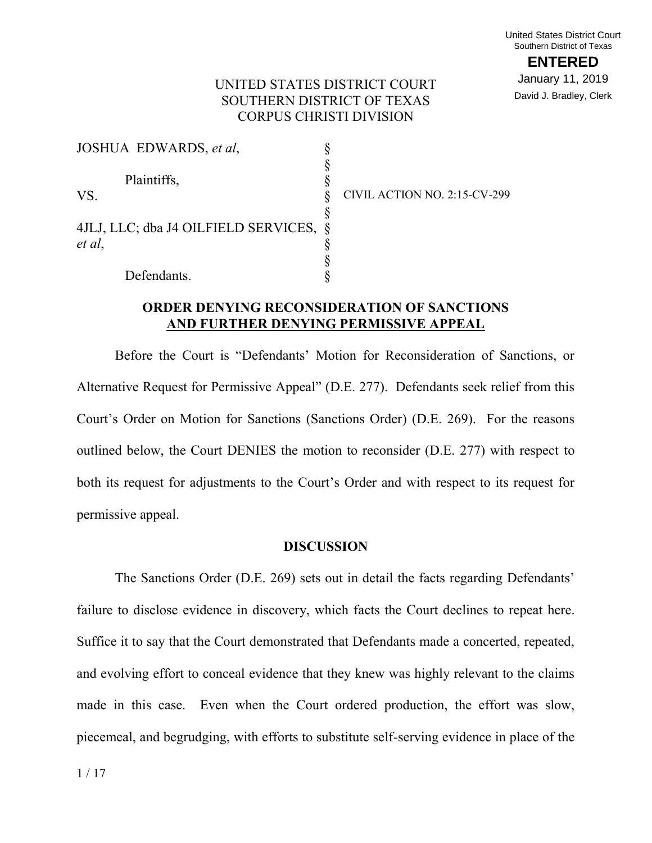## UNITED STATES DISTRICT COURT SOUTHERN DISTRICT OF TEXAS CORPUS CHRISTI DIVISION

| JOSHUA EDWARDS, et al.                 |                              |
|----------------------------------------|------------------------------|
|                                        |                              |
| Plaintiffs,                            |                              |
| VS.                                    | CIVIL ACTION NO. 2:15-CV-299 |
|                                        |                              |
| 4JLJ, LLC; dba J4 OILFIELD SERVICES, § |                              |
| et al,                                 |                              |
|                                        |                              |
| Defendants.                            |                              |

## **ORDER DENYING RECONSIDERATION OF SANCTIONS AND FURTHER DENYING PERMISSIVE APPEAL**

Before the Court is "Defendants' Motion for Reconsideration of Sanctions, or Alternative Request for Permissive Appeal" (D.E. 277). Defendants seek relief from this Court's Order on Motion for Sanctions (Sanctions Order) (D.E. 269). For the reasons outlined below, the Court DENIES the motion to reconsider (D.E. 277) with respect to both its request for adjustments to the Court's Order and with respect to its request for permissive appeal.

#### **DISCUSSION**

The Sanctions Order (D.E. 269) sets out in detail the facts regarding Defendants' failure to disclose evidence in discovery, which facts the Court declines to repeat here. Suffice it to say that the Court demonstrated that Defendants made a concerted, repeated, and evolving effort to conceal evidence that they knew was highly relevant to the claims made in this case. Even when the Court ordered production, the effort was slow, piecemeal, and begrudging, with efforts to substitute self-serving evidence in place of the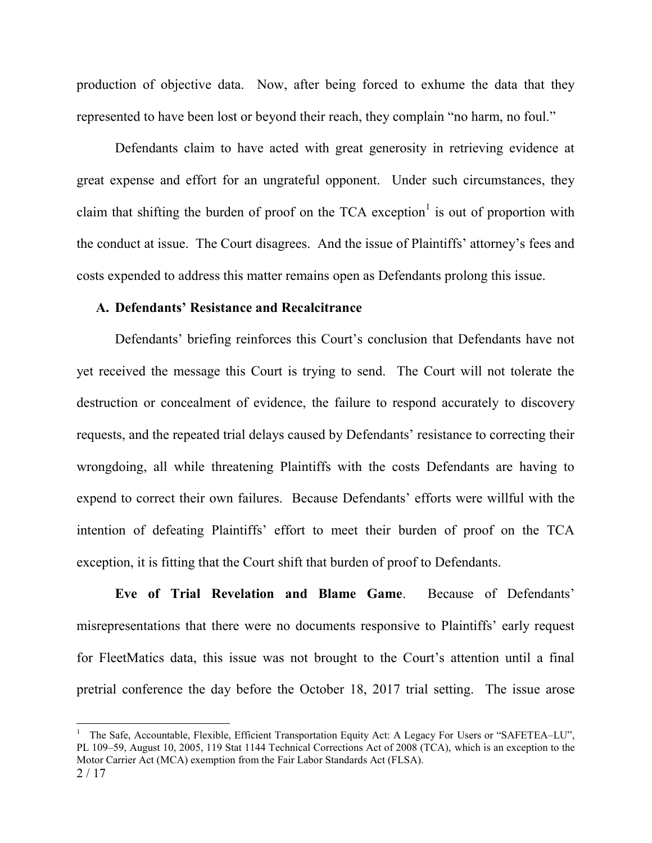production of objective data. Now, after being forced to exhume the data that they represented to have been lost or beyond their reach, they complain "no harm, no foul."

Defendants claim to have acted with great generosity in retrieving evidence at great expense and effort for an ungrateful opponent. Under such circumstances, they claim that shifting the burden of proof on the TCA exception<sup>1</sup> is out of proportion with the conduct at issue. The Court disagrees. And the issue of Plaintiffs' attorney's fees and costs expended to address this matter remains open as Defendants prolong this issue.

#### **A. Defendants' Resistance and Recalcitrance**

 $\overline{a}$ 

Defendants' briefing reinforces this Court's conclusion that Defendants have not yet received the message this Court is trying to send. The Court will not tolerate the destruction or concealment of evidence, the failure to respond accurately to discovery requests, and the repeated trial delays caused by Defendants' resistance to correcting their wrongdoing, all while threatening Plaintiffs with the costs Defendants are having to expend to correct their own failures. Because Defendants' efforts were willful with the intention of defeating Plaintiffs' effort to meet their burden of proof on the TCA exception, it is fitting that the Court shift that burden of proof to Defendants.

**Eve of Trial Revelation and Blame Game**. Because of Defendants' misrepresentations that there were no documents responsive to Plaintiffs' early request for FleetMatics data, this issue was not brought to the Court's attention until a final pretrial conference the day before the October 18, 2017 trial setting. The issue arose

<sup>2</sup> / 17 <sup>1</sup> The Safe, Accountable, Flexible, Efficient Transportation Equity Act: A Legacy For Users or "SAFETEA–LU", PL 109–59, August 10, 2005, 119 Stat 1144 Technical Corrections Act of 2008 (TCA), which is an exception to the Motor Carrier Act (MCA) exemption from the Fair Labor Standards Act (FLSA).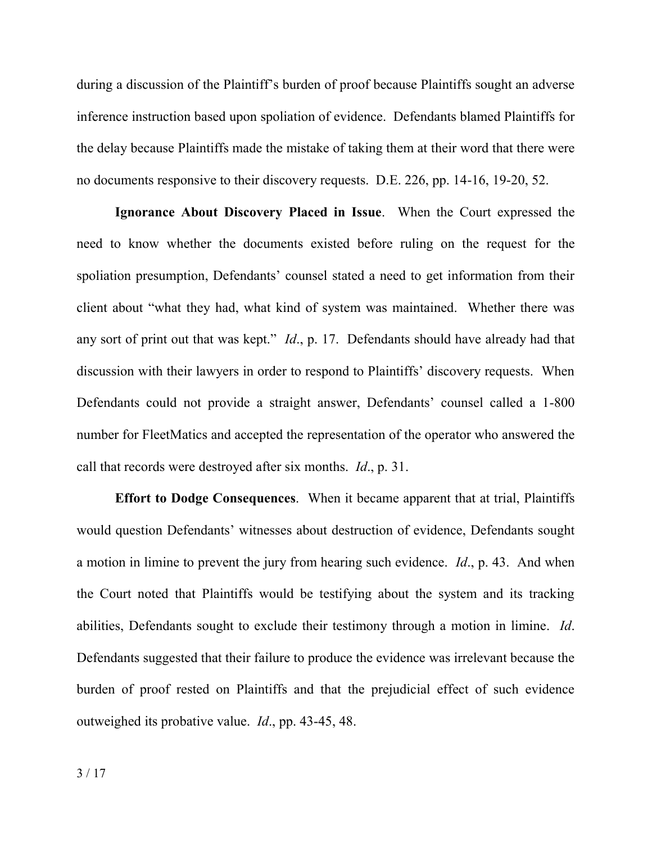during a discussion of the Plaintiff's burden of proof because Plaintiffs sought an adverse inference instruction based upon spoliation of evidence. Defendants blamed Plaintiffs for the delay because Plaintiffs made the mistake of taking them at their word that there were no documents responsive to their discovery requests. D.E. 226, pp. 14-16, 19-20, 52.

**Ignorance About Discovery Placed in Issue**. When the Court expressed the need to know whether the documents existed before ruling on the request for the spoliation presumption, Defendants' counsel stated a need to get information from their client about "what they had, what kind of system was maintained. Whether there was any sort of print out that was kept." *Id*., p. 17. Defendants should have already had that discussion with their lawyers in order to respond to Plaintiffs' discovery requests. When Defendants could not provide a straight answer, Defendants' counsel called a 1-800 number for FleetMatics and accepted the representation of the operator who answered the call that records were destroyed after six months. *Id*., p. 31.

**Effort to Dodge Consequences**. When it became apparent that at trial, Plaintiffs would question Defendants' witnesses about destruction of evidence, Defendants sought a motion in limine to prevent the jury from hearing such evidence. *Id*., p. 43. And when the Court noted that Plaintiffs would be testifying about the system and its tracking abilities, Defendants sought to exclude their testimony through a motion in limine. *Id*. Defendants suggested that their failure to produce the evidence was irrelevant because the burden of proof rested on Plaintiffs and that the prejudicial effect of such evidence outweighed its probative value. *Id*., pp. 43-45, 48.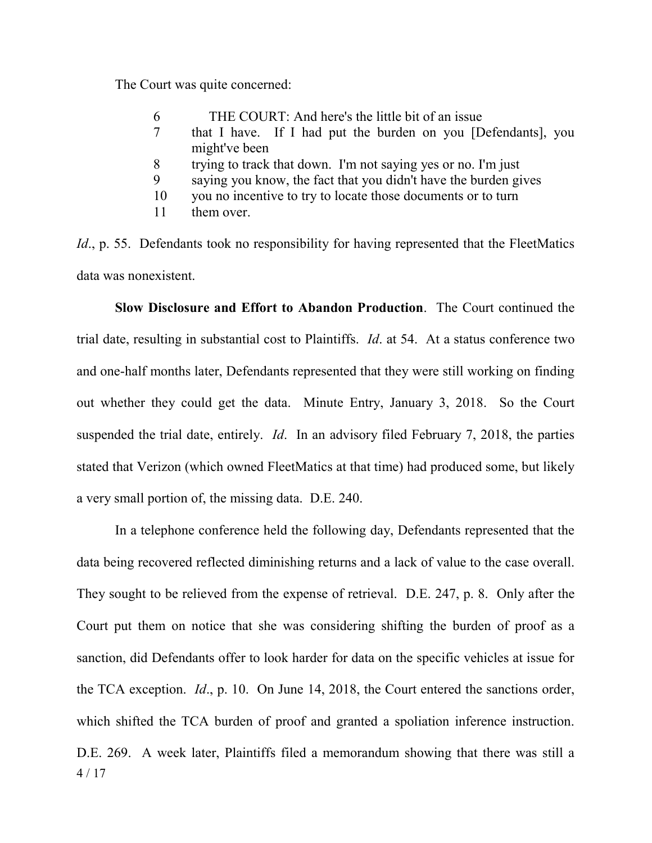The Court was quite concerned:

- 6 THE COURT: And here's the little bit of an issue
- 7 that I have. If I had put the burden on you [Defendants], you might've been
- 8 trying to track that down. I'm not saying yes or no. I'm just
- 9 saying you know, the fact that you didn't have the burden gives
- 10 you no incentive to try to locate those documents or to turn
- 11 them over.

*Id.*, p. 55. Defendants took no responsibility for having represented that the FleetMatics data was nonexistent.

**Slow Disclosure and Effort to Abandon Production**. The Court continued the trial date, resulting in substantial cost to Plaintiffs. *Id*. at 54. At a status conference two and one-half months later, Defendants represented that they were still working on finding out whether they could get the data. Minute Entry, January 3, 2018. So the Court suspended the trial date, entirely. *Id*. In an advisory filed February 7, 2018, the parties stated that Verizon (which owned FleetMatics at that time) had produced some, but likely a very small portion of, the missing data. D.E. 240.

4 / 17 In a telephone conference held the following day, Defendants represented that the data being recovered reflected diminishing returns and a lack of value to the case overall. They sought to be relieved from the expense of retrieval. D.E. 247, p. 8. Only after the Court put them on notice that she was considering shifting the burden of proof as a sanction, did Defendants offer to look harder for data on the specific vehicles at issue for the TCA exception. *Id*., p. 10. On June 14, 2018, the Court entered the sanctions order, which shifted the TCA burden of proof and granted a spoliation inference instruction. D.E. 269. A week later, Plaintiffs filed a memorandum showing that there was still a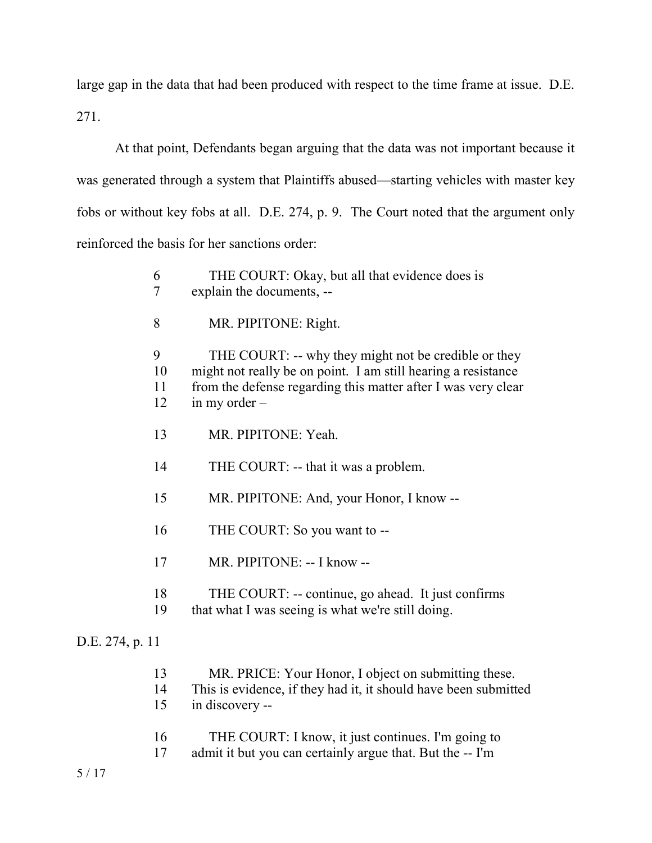large gap in the data that had been produced with respect to the time frame at issue. D.E. 271.

At that point, Defendants began arguing that the data was not important because it was generated through a system that Plaintiffs abused—starting vehicles with master key fobs or without key fobs at all. D.E. 274, p. 9. The Court noted that the argument only reinforced the basis for her sanctions order:

|                 | 6<br>$\overline{7}$ | THE COURT: Okay, but all that evidence does is<br>explain the documents, --                                                                                                                               |
|-----------------|---------------------|-----------------------------------------------------------------------------------------------------------------------------------------------------------------------------------------------------------|
|                 | 8                   | MR. PIPITONE: Right.                                                                                                                                                                                      |
|                 | 9<br>10<br>11<br>12 | THE COURT: -- why they might not be credible or they<br>might not really be on point. I am still hearing a resistance<br>from the defense regarding this matter after I was very clear<br>in my order $-$ |
|                 | 13                  | MR. PIPITONE: Yeah.                                                                                                                                                                                       |
|                 | 14                  | THE COURT: -- that it was a problem.                                                                                                                                                                      |
|                 | 15                  | MR. PIPITONE: And, your Honor, I know --                                                                                                                                                                  |
|                 | 16                  | THE COURT: So you want to --                                                                                                                                                                              |
|                 | 17                  | MR. PIPITONE: -- I know --                                                                                                                                                                                |
|                 | 18<br>19            | THE COURT: -- continue, go ahead. It just confirms<br>that what I was seeing is what we're still doing.                                                                                                   |
| D.E. 274, p. 11 |                     |                                                                                                                                                                                                           |
|                 |                     |                                                                                                                                                                                                           |

| 13 | MR. PRICE: Your Honor, I object on submitting these.            |
|----|-----------------------------------------------------------------|
| 14 | This is evidence, if they had it, it should have been submitted |
| 15 | in discovery --                                                 |
|    |                                                                 |

- 16 THE COURT: I know, it just continues. I'm going to<br>17 admit it but you can certainly argue that. But the -- I'm
- admit it but you can certainly argue that. But the -- I'm

5 / 17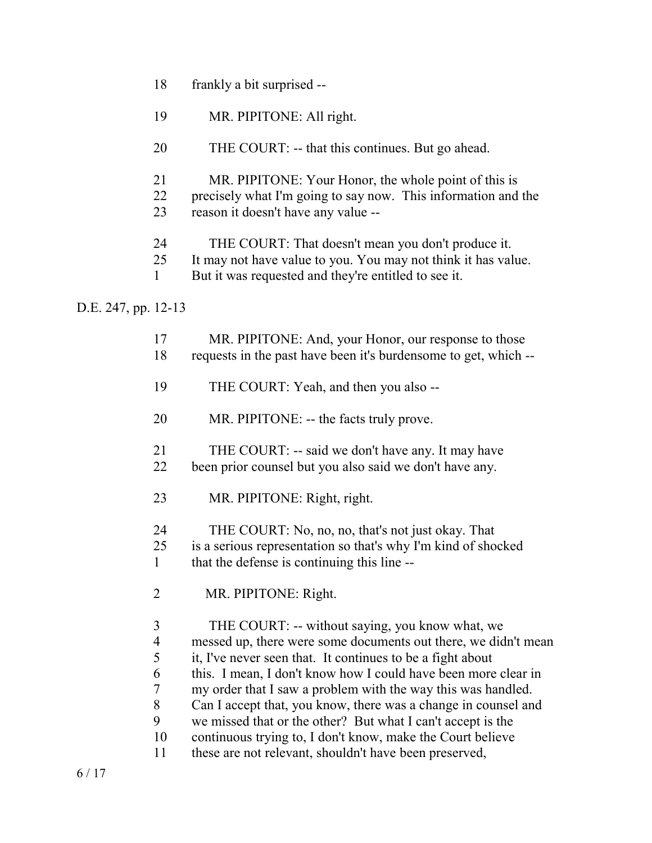- 18 frankly a bit surprised --
- 19 MR. PIPITONE: All right.
- 20 THE COURT: -- that this continues. But go ahead.
- 21 MR. PIPITONE: Your Honor, the whole point of this is
- 22 precisely what I'm going to say now. This information and the
- 23 reason it doesn't have any value --
- 24 THE COURT: That doesn't mean you don't produce it.
- 25 It may not have value to you. You may not think it has value.
- 1 But it was requested and they're entitled to see it.

D.E. 247, pp. 12-13

| 17             | MR. PIPITONE: And, your Honor, our response to those            |
|----------------|-----------------------------------------------------------------|
| 18             | requests in the past have been it's burdensome to get, which -- |
| 19             | THE COURT: Yeah, and then you also --                           |
| 20             | MR. PIPITONE: -- the facts truly prove.                         |
| 21             | THE COURT: -- said we don't have any. It may have               |
| 22             | been prior counsel but you also said we don't have any.         |
| 23             | MR. PIPITONE: Right, right.                                     |
| 24             | THE COURT: No, no, no, that's not just okay. That               |
| 25             | is a serious representation so that's why I'm kind of shocked   |
| $\mathbf{1}$   | that the defense is continuing this line --                     |
| $\overline{2}$ | MR. PIPITONE: Right.                                            |
| 3              | THE COURT: -- without saying, you know what, we                 |
| $\overline{4}$ | messed up, there were some documents out there, we didn't mean  |
| 5              | it, I've never seen that. It continues to be a fight about      |
| 6              | this. I mean, I don't know how I could have been more clear in  |
| 7              | my order that I saw a problem with the way this was handled.    |
| 8              | Can I accept that, you know, there was a change in counsel and  |
| 9              | we missed that or the other? But what I can't accept is the     |
| 10             | continuous trying to, I don't know, make the Court believe      |
| 11             | these are not relevant, shouldn't have been preserved,          |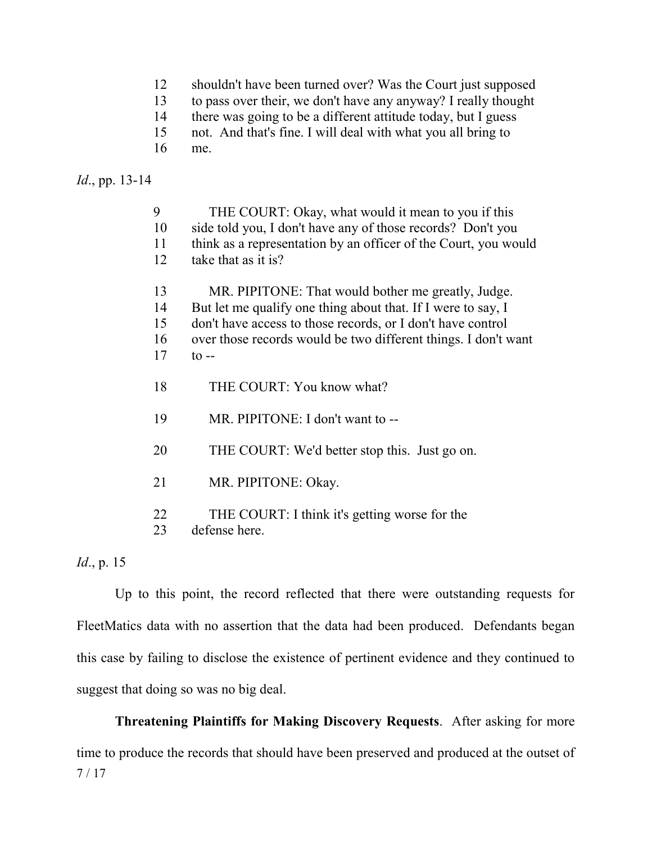- 12 shouldn't have been turned over? Was the Court just supposed
- 13 to pass over their, we don't have any anyway? I really thought
- 14 there was going to be a different attitude today, but I guess
- 15 not. And that's fine. I will deal with what you all bring to
- 16 me.

## *Id*., pp. 13-14

| 9  | THE COURT: Okay, what would it mean to you if this              |
|----|-----------------------------------------------------------------|
| 10 | side told you, I don't have any of those records? Don't you     |
| 11 | think as a representation by an officer of the Court, you would |
| 12 | take that as it is?                                             |
| 13 | MR. PIPITONE: That would bother me greatly, Judge.              |
| 14 | But let me qualify one thing about that. If I were to say, I    |
| 15 | don't have access to those records, or I don't have control     |
| 16 | over those records would be two different things. I don't want  |
| 17 | $\text{to}$ --                                                  |
|    |                                                                 |
| 18 | THE COURT: You know what?                                       |
|    |                                                                 |
| 19 | MR. PIPITONE: I don't want to --                                |
|    |                                                                 |
| 20 | THE COURT: We'd better stop this. Just go on.                   |
| 21 |                                                                 |
|    | MR. PIPITONE: Okay.                                             |
| 22 | THE COURT: I think it's getting worse for the                   |
| 23 | defense here.                                                   |
|    |                                                                 |

# *Id*., p. 15

Up to this point, the record reflected that there were outstanding requests for FleetMatics data with no assertion that the data had been produced. Defendants began this case by failing to disclose the existence of pertinent evidence and they continued to suggest that doing so was no big deal.

7 / 17 **Threatening Plaintiffs for Making Discovery Requests**. After asking for more time to produce the records that should have been preserved and produced at the outset of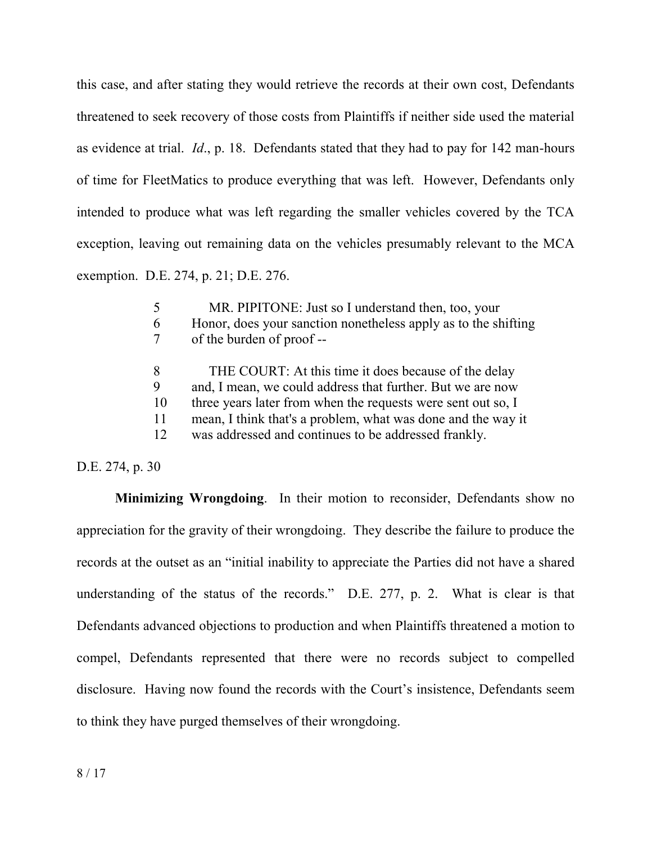this case, and after stating they would retrieve the records at their own cost, Defendants threatened to seek recovery of those costs from Plaintiffs if neither side used the material as evidence at trial. *Id*., p. 18. Defendants stated that they had to pay for 142 man-hours of time for FleetMatics to produce everything that was left. However, Defendants only intended to produce what was left regarding the smaller vehicles covered by the TCA exception, leaving out remaining data on the vehicles presumably relevant to the MCA exemption. D.E. 274, p. 21; D.E. 276.

| 6                   | MR. PIPITONE: Just so I understand then, too, your<br>Honor, does your sanction nonetheless apply as to the shifting<br>of the burden of proof --                                                                                                                                                          |
|---------------------|------------------------------------------------------------------------------------------------------------------------------------------------------------------------------------------------------------------------------------------------------------------------------------------------------------|
| 8<br>10<br>11<br>12 | THE COURT: At this time it does because of the delay<br>and, I mean, we could address that further. But we are now<br>three years later from when the requests were sent out so, I<br>mean, I think that's a problem, what was done and the way it<br>was addressed and continues to be addressed frankly. |

D.E. 274, p. 30

**Minimizing Wrongdoing**. In their motion to reconsider, Defendants show no appreciation for the gravity of their wrongdoing. They describe the failure to produce the records at the outset as an "initial inability to appreciate the Parties did not have a shared understanding of the status of the records." D.E. 277, p. 2. What is clear is that Defendants advanced objections to production and when Plaintiffs threatened a motion to compel, Defendants represented that there were no records subject to compelled disclosure. Having now found the records with the Court's insistence, Defendants seem to think they have purged themselves of their wrongdoing.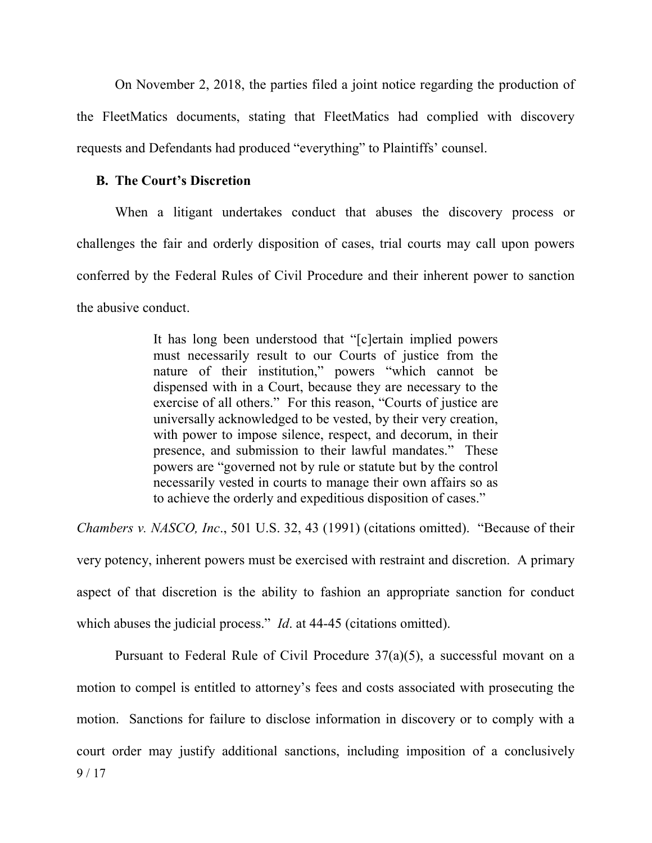On November 2, 2018, the parties filed a joint notice regarding the production of the FleetMatics documents, stating that FleetMatics had complied with discovery requests and Defendants had produced "everything" to Plaintiffs' counsel.

# **B. The Court's Discretion**

When a litigant undertakes conduct that abuses the discovery process or challenges the fair and orderly disposition of cases, trial courts may call upon powers conferred by the Federal Rules of Civil Procedure and their inherent power to sanction the abusive conduct.

> It has long been understood that "[c]ertain implied powers must necessarily result to our Courts of justice from the nature of their institution," powers "which cannot be dispensed with in a Court, because they are necessary to the exercise of all others." For this reason, "Courts of justice are universally acknowledged to be vested, by their very creation, with power to impose silence, respect, and decorum, in their presence, and submission to their lawful mandates." These powers are "governed not by rule or statute but by the control necessarily vested in courts to manage their own affairs so as to achieve the orderly and expeditious disposition of cases."

*Chambers v. NASCO, Inc*., 501 U.S. 32, 43 (1991) (citations omitted). "Because of their very potency, inherent powers must be exercised with restraint and discretion. A primary aspect of that discretion is the ability to fashion an appropriate sanction for conduct which abuses the judicial process." *Id.* at 44-45 (citations omitted).

9 / 17 Pursuant to Federal Rule of Civil Procedure 37(a)(5), a successful movant on a motion to compel is entitled to attorney's fees and costs associated with prosecuting the motion. Sanctions for failure to disclose information in discovery or to comply with a court order may justify additional sanctions, including imposition of a conclusively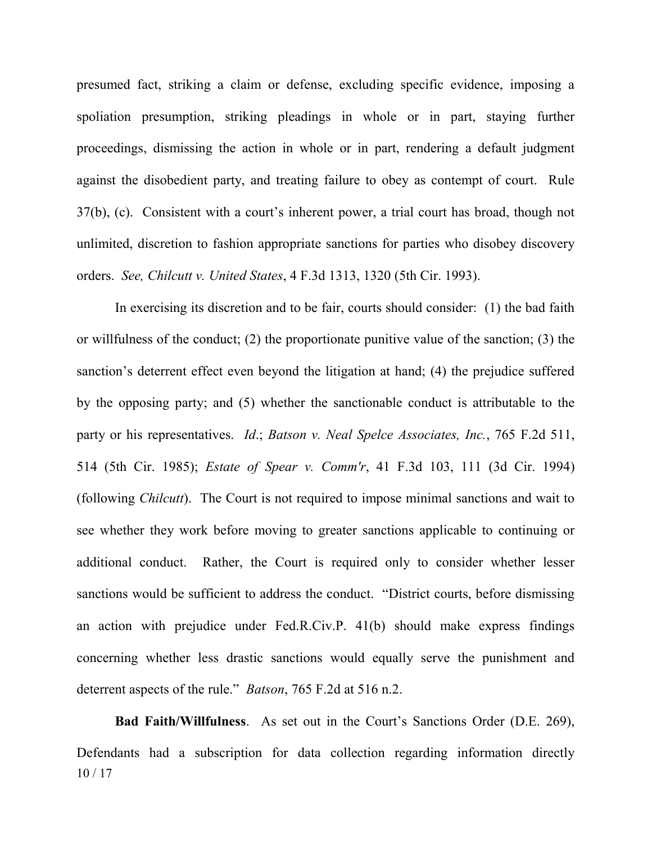presumed fact, striking a claim or defense, excluding specific evidence, imposing a spoliation presumption, striking pleadings in whole or in part, staying further proceedings, dismissing the action in whole or in part, rendering a default judgment against the disobedient party, and treating failure to obey as contempt of court. Rule 37(b), (c). Consistent with a court's inherent power, a trial court has broad, though not unlimited, discretion to fashion appropriate sanctions for parties who disobey discovery orders. *See, Chilcutt v. United States*, 4 F.3d 1313, 1320 (5th Cir. 1993).

In exercising its discretion and to be fair, courts should consider: (1) the bad faith or willfulness of the conduct; (2) the proportionate punitive value of the sanction; (3) the sanction's deterrent effect even beyond the litigation at hand; (4) the prejudice suffered by the opposing party; and (5) whether the sanctionable conduct is attributable to the party or his representatives. *Id*.; *Batson v. Neal Spelce Associates, Inc.*, 765 F.2d 511, 514 (5th Cir. 1985); *Estate of Spear v. Comm'r*, 41 F.3d 103, 111 (3d Cir. 1994) (following *Chilcutt*). The Court is not required to impose minimal sanctions and wait to see whether they work before moving to greater sanctions applicable to continuing or additional conduct. Rather, the Court is required only to consider whether lesser sanctions would be sufficient to address the conduct. "District courts, before dismissing an action with prejudice under Fed.R.Civ.P. 41(b) should make express findings concerning whether less drastic sanctions would equally serve the punishment and deterrent aspects of the rule." *Batson*, 765 F.2d at 516 n.2.

10 / 17 **Bad Faith/Willfulness**. As set out in the Court's Sanctions Order (D.E. 269), Defendants had a subscription for data collection regarding information directly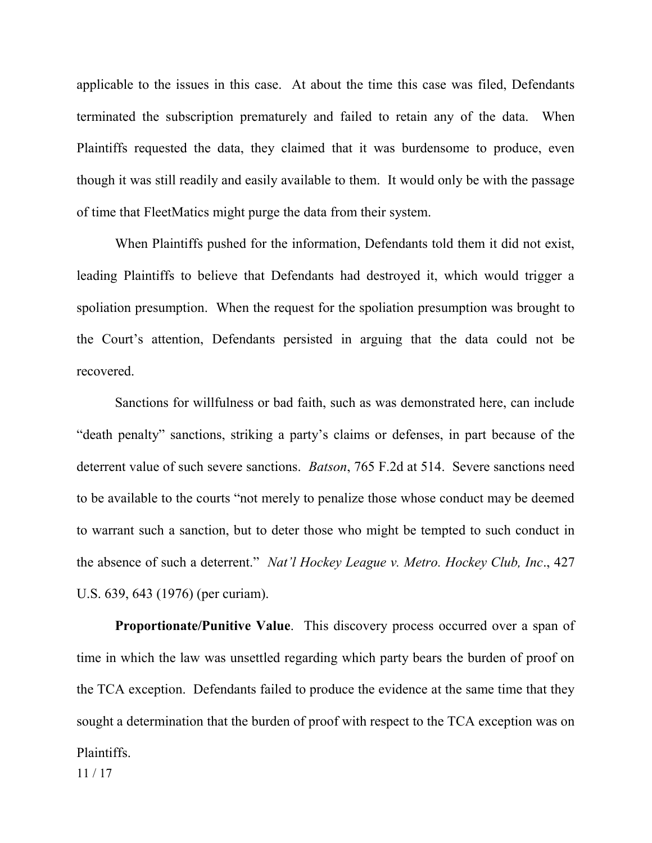applicable to the issues in this case. At about the time this case was filed, Defendants terminated the subscription prematurely and failed to retain any of the data. When Plaintiffs requested the data, they claimed that it was burdensome to produce, even though it was still readily and easily available to them. It would only be with the passage of time that FleetMatics might purge the data from their system.

When Plaintiffs pushed for the information, Defendants told them it did not exist, leading Plaintiffs to believe that Defendants had destroyed it, which would trigger a spoliation presumption. When the request for the spoliation presumption was brought to the Court's attention, Defendants persisted in arguing that the data could not be recovered.

Sanctions for willfulness or bad faith, such as was demonstrated here, can include "death penalty" sanctions, striking a party's claims or defenses, in part because of the deterrent value of such severe sanctions. *Batson*, 765 F.2d at 514. Severe sanctions need to be available to the courts "not merely to penalize those whose conduct may be deemed to warrant such a sanction, but to deter those who might be tempted to such conduct in the absence of such a deterrent." *Nat'l Hockey League v. Metro. Hockey Club, Inc*., 427 U.S. 639, 643 (1976) (per curiam).

11 / 17 **Proportionate/Punitive Value**. This discovery process occurred over a span of time in which the law was unsettled regarding which party bears the burden of proof on the TCA exception. Defendants failed to produce the evidence at the same time that they sought a determination that the burden of proof with respect to the TCA exception was on Plaintiffs.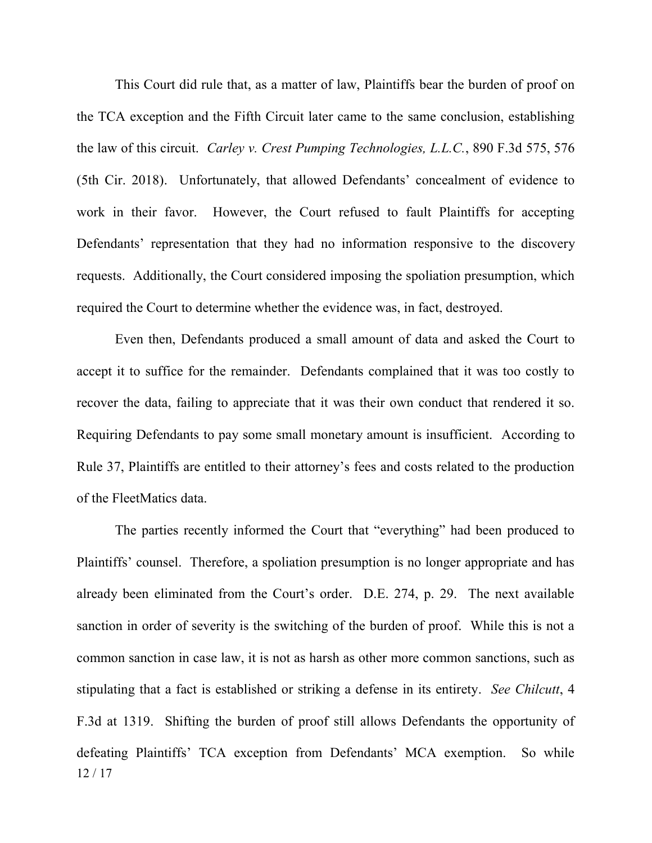This Court did rule that, as a matter of law, Plaintiffs bear the burden of proof on the TCA exception and the Fifth Circuit later came to the same conclusion, establishing the law of this circuit. *Carley v. Crest Pumping Technologies, L.L.C.*, 890 F.3d 575, 576 (5th Cir. 2018). Unfortunately, that allowed Defendants' concealment of evidence to work in their favor. However, the Court refused to fault Plaintiffs for accepting Defendants' representation that they had no information responsive to the discovery requests. Additionally, the Court considered imposing the spoliation presumption, which required the Court to determine whether the evidence was, in fact, destroyed.

Even then, Defendants produced a small amount of data and asked the Court to accept it to suffice for the remainder. Defendants complained that it was too costly to recover the data, failing to appreciate that it was their own conduct that rendered it so. Requiring Defendants to pay some small monetary amount is insufficient. According to Rule 37, Plaintiffs are entitled to their attorney's fees and costs related to the production of the FleetMatics data.

12 / 17 The parties recently informed the Court that "everything" had been produced to Plaintiffs' counsel. Therefore, a spoliation presumption is no longer appropriate and has already been eliminated from the Court's order. D.E. 274, p. 29. The next available sanction in order of severity is the switching of the burden of proof. While this is not a common sanction in case law, it is not as harsh as other more common sanctions, such as stipulating that a fact is established or striking a defense in its entirety. *See Chilcutt*, 4 F.3d at 1319. Shifting the burden of proof still allows Defendants the opportunity of defeating Plaintiffs' TCA exception from Defendants' MCA exemption. So while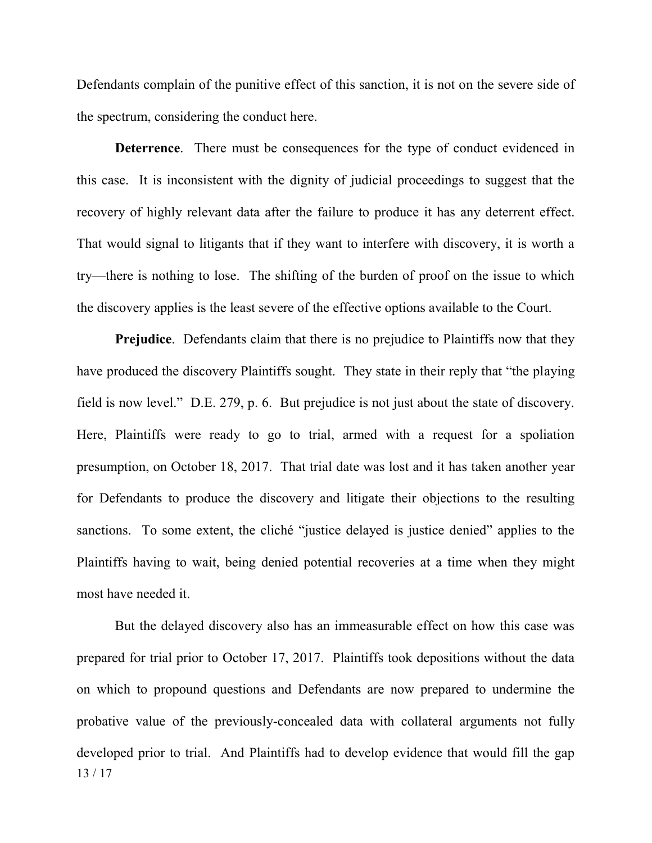Defendants complain of the punitive effect of this sanction, it is not on the severe side of the spectrum, considering the conduct here.

**Deterrence**. There must be consequences for the type of conduct evidenced in this case. It is inconsistent with the dignity of judicial proceedings to suggest that the recovery of highly relevant data after the failure to produce it has any deterrent effect. That would signal to litigants that if they want to interfere with discovery, it is worth a try—there is nothing to lose. The shifting of the burden of proof on the issue to which the discovery applies is the least severe of the effective options available to the Court.

**Prejudice**. Defendants claim that there is no prejudice to Plaintiffs now that they have produced the discovery Plaintiffs sought. They state in their reply that "the playing field is now level." D.E. 279, p. 6. But prejudice is not just about the state of discovery. Here, Plaintiffs were ready to go to trial, armed with a request for a spoliation presumption, on October 18, 2017. That trial date was lost and it has taken another year for Defendants to produce the discovery and litigate their objections to the resulting sanctions. To some extent, the cliché "justice delayed is justice denied" applies to the Plaintiffs having to wait, being denied potential recoveries at a time when they might most have needed it.

13 / 17 But the delayed discovery also has an immeasurable effect on how this case was prepared for trial prior to October 17, 2017. Plaintiffs took depositions without the data on which to propound questions and Defendants are now prepared to undermine the probative value of the previously-concealed data with collateral arguments not fully developed prior to trial. And Plaintiffs had to develop evidence that would fill the gap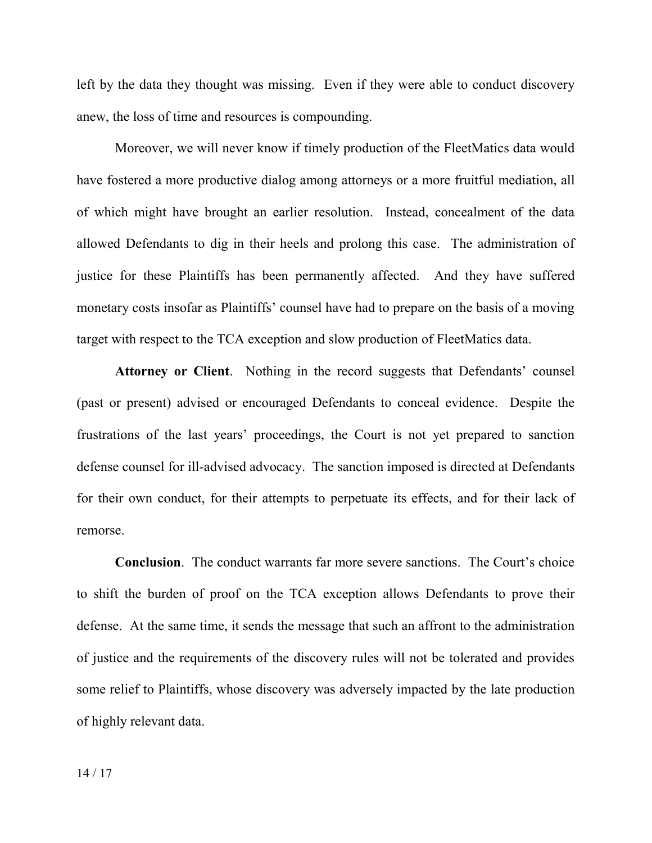left by the data they thought was missing. Even if they were able to conduct discovery anew, the loss of time and resources is compounding.

Moreover, we will never know if timely production of the FleetMatics data would have fostered a more productive dialog among attorneys or a more fruitful mediation, all of which might have brought an earlier resolution. Instead, concealment of the data allowed Defendants to dig in their heels and prolong this case. The administration of justice for these Plaintiffs has been permanently affected. And they have suffered monetary costs insofar as Plaintiffs' counsel have had to prepare on the basis of a moving target with respect to the TCA exception and slow production of FleetMatics data.

**Attorney or Client**. Nothing in the record suggests that Defendants' counsel (past or present) advised or encouraged Defendants to conceal evidence. Despite the frustrations of the last years' proceedings, the Court is not yet prepared to sanction defense counsel for ill-advised advocacy. The sanction imposed is directed at Defendants for their own conduct, for their attempts to perpetuate its effects, and for their lack of remorse.

**Conclusion**. The conduct warrants far more severe sanctions. The Court's choice to shift the burden of proof on the TCA exception allows Defendants to prove their defense. At the same time, it sends the message that such an affront to the administration of justice and the requirements of the discovery rules will not be tolerated and provides some relief to Plaintiffs, whose discovery was adversely impacted by the late production of highly relevant data.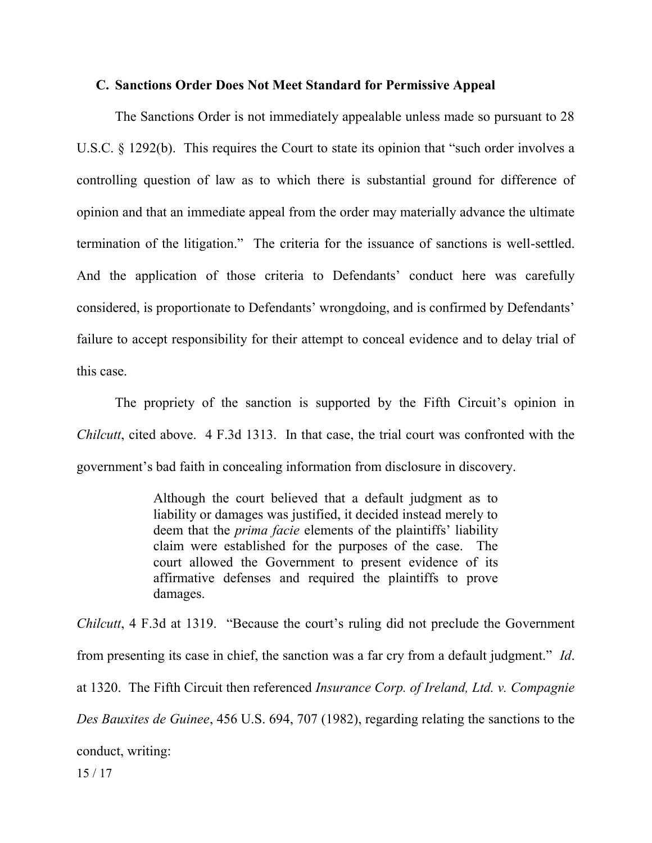#### **C. Sanctions Order Does Not Meet Standard for Permissive Appeal**

The Sanctions Order is not immediately appealable unless made so pursuant to 28 U.S.C. § 1292(b). This requires the Court to state its opinion that "such order involves a controlling question of law as to which there is substantial ground for difference of opinion and that an immediate appeal from the order may materially advance the ultimate termination of the litigation." The criteria for the issuance of sanctions is well-settled. And the application of those criteria to Defendants' conduct here was carefully considered, is proportionate to Defendants' wrongdoing, and is confirmed by Defendants' failure to accept responsibility for their attempt to conceal evidence and to delay trial of this case.

The propriety of the sanction is supported by the Fifth Circuit's opinion in *Chilcutt*, cited above. 4 F.3d 1313. In that case, the trial court was confronted with the government's bad faith in concealing information from disclosure in discovery.

> Although the court believed that a default judgment as to liability or damages was justified, it decided instead merely to deem that the *prima facie* elements of the plaintiffs' liability claim were established for the purposes of the case. The court allowed the Government to present evidence of its affirmative defenses and required the plaintiffs to prove damages.

*Chilcutt*, 4 F.3d at 1319. "Because the court's ruling did not preclude the Government from presenting its case in chief, the sanction was a far cry from a default judgment." *Id*. at 1320. The Fifth Circuit then referenced *Insurance Corp. of Ireland, Ltd. v. Compagnie Des Bauxites de Guinee*, 456 U.S. 694, 707 (1982), regarding relating the sanctions to the conduct, writing:

15 / 17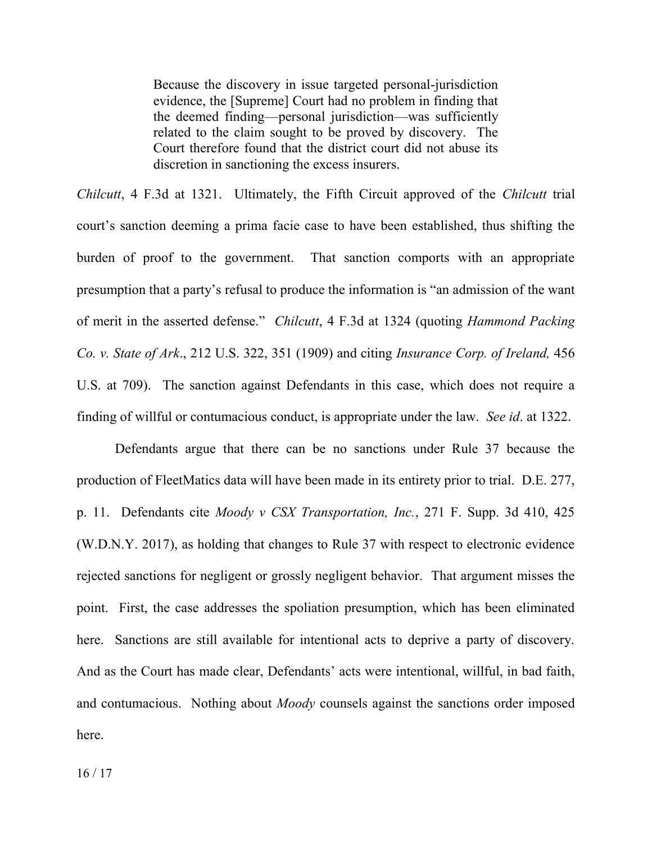Because the discovery in issue targeted personal-jurisdiction evidence, the [Supreme] Court had no problem in finding that the deemed finding—personal jurisdiction—was sufficiently related to the claim sought to be proved by discovery. The Court therefore found that the district court did not abuse its discretion in sanctioning the excess insurers.

*Chilcutt*, 4 F.3d at 1321. Ultimately, the Fifth Circuit approved of the *Chilcutt* trial court's sanction deeming a prima facie case to have been established, thus shifting the burden of proof to the government. That sanction comports with an appropriate presumption that a party's refusal to produce the information is "an admission of the want of merit in the asserted defense." *Chilcutt*, 4 F.3d at 1324 (quoting *Hammond Packing Co. v. State of Ark*., 212 U.S. 322, 351 (1909) and citing *Insurance Corp. of Ireland,* 456 U.S. at 709). The sanction against Defendants in this case, which does not require a finding of willful or contumacious conduct, is appropriate under the law. *See id*. at 1322.

Defendants argue that there can be no sanctions under Rule 37 because the production of FleetMatics data will have been made in its entirety prior to trial. D.E. 277, p. 11. Defendants cite *Moody v CSX Transportation, Inc.*, 271 F. Supp. 3d 410, 425 (W.D.N.Y. 2017), as holding that changes to Rule 37 with respect to electronic evidence rejected sanctions for negligent or grossly negligent behavior. That argument misses the point. First, the case addresses the spoliation presumption, which has been eliminated here. Sanctions are still available for intentional acts to deprive a party of discovery. And as the Court has made clear, Defendants' acts were intentional, willful, in bad faith, and contumacious. Nothing about *Moody* counsels against the sanctions order imposed here.